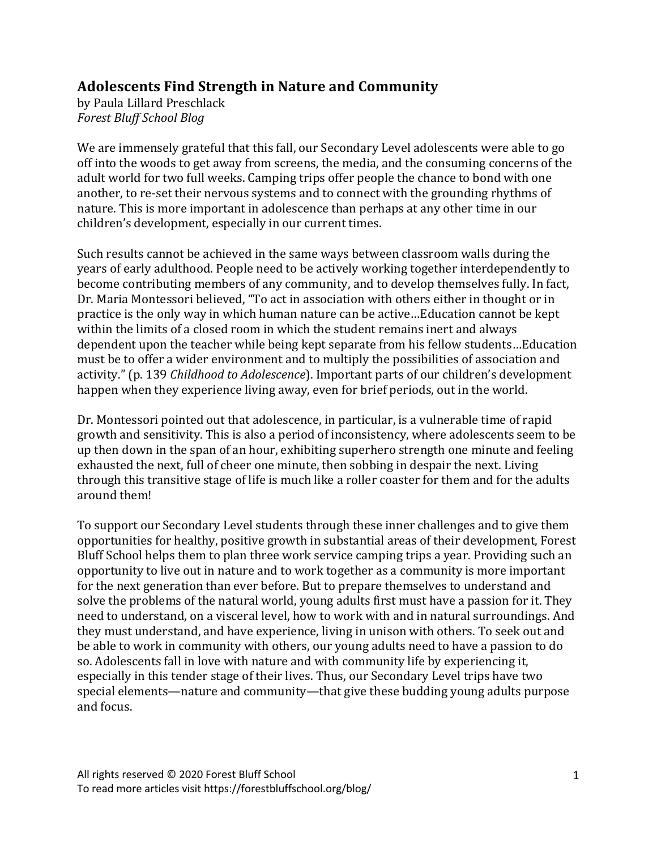# **Adolescents Find Strength in Nature and Community**

by Paula Lillard Preschlack *Forest Bluff School Blog*

We are immensely grateful that this fall, our Secondary Level adolescents were able to go off into the woods to get away from screens, the media, and the consuming concerns of the adult world for two full weeks. Camping trips offer people the chance to bond with one another, to re-set their nervous systems and to connect with the grounding rhythms of nature. This is more important in adolescence than perhaps at any other time in our children's development, especially in our current times.

Such results cannot be achieved in the same ways between classroom walls during the years of early adulthood. People need to be actively working together interdependently to become contributing members of any community, and to develop themselves fully. In fact, Dr. Maria Montessori believed, "To act in association with others either in thought or in practice is the only way in which human nature can be active...Education cannot be kept within the limits of a closed room in which the student remains inert and always dependent upon the teacher while being kept separate from his fellow students...Education must be to offer a wider environment and to multiply the possibilities of association and activity." (p. 139 *Childhood to Adolescence*). Important parts of our children's development happen when they experience living away, even for brief periods, out in the world.

Dr. Montessori pointed out that adolescence, in particular, is a vulnerable time of rapid growth and sensitivity. This is also a period of inconsistency, where adolescents seem to be up then down in the span of an hour, exhibiting superhero strength one minute and feeling exhausted the next, full of cheer one minute, then sobbing in despair the next. Living through this transitive stage of life is much like a roller coaster for them and for the adults around them!

To support our Secondary Level students through these inner challenges and to give them opportunities for healthy, positive growth in substantial areas of their development, Forest Bluff School helps them to plan three work service camping trips a year. Providing such an opportunity to live out in nature and to work together as a community is more important for the next generation than ever before. But to prepare themselves to understand and solve the problems of the natural world, young adults first must have a passion for it. They need to understand, on a visceral level, how to work with and in natural surroundings. And they must understand, and have experience, living in unison with others. To seek out and be able to work in community with others, our young adults need to have a passion to do so. Adolescents fall in love with nature and with community life by experiencing it, especially in this tender stage of their lives. Thus, our Secondary Level trips have two special elements—nature and community—that give these budding young adults purpose and focus.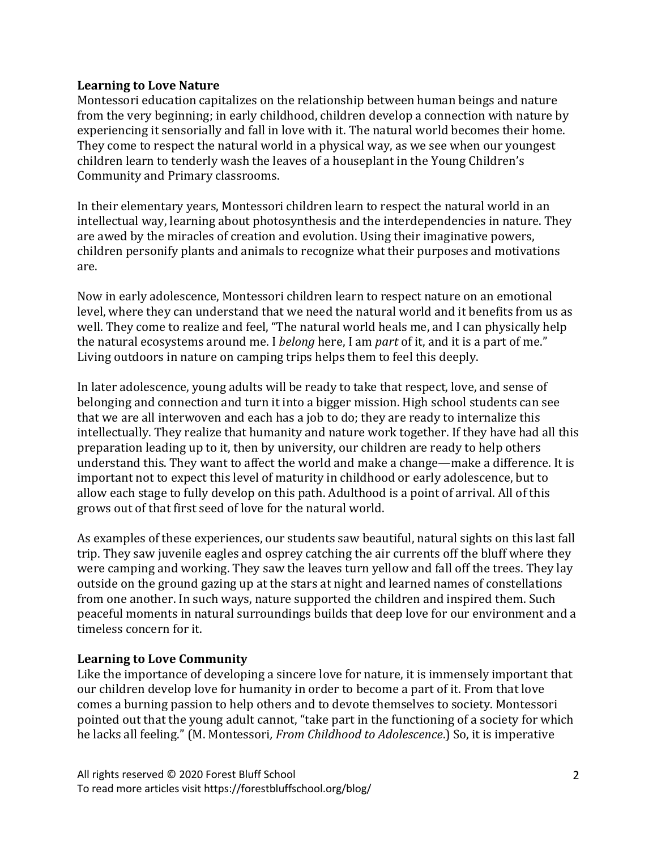### **Learning to Love Nature**

Montessori education capitalizes on the relationship between human beings and nature from the very beginning; in early childhood, children develop a connection with nature by experiencing it sensorially and fall in love with it. The natural world becomes their home. They come to respect the natural world in a physical way, as we see when our youngest children learn to tenderly wash the leaves of a houseplant in the Young Children's Community and Primary classrooms.

In their elementary years, Montessori children learn to respect the natural world in an intellectual way, learning about photosynthesis and the interdependencies in nature. They are awed by the miracles of creation and evolution. Using their imaginative powers, children personify plants and animals to recognize what their purposes and motivations are.

Now in early adolescence, Montessori children learn to respect nature on an emotional level, where they can understand that we need the natural world and it benefits from us as well. They come to realize and feel, "The natural world heals me, and I can physically help the natural ecosystems around me. I *belong* here, I am *part* of it, and it is a part of me." Living outdoors in nature on camping trips helps them to feel this deeply.

In later adolescence, young adults will be ready to take that respect, love, and sense of belonging and connection and turn it into a bigger mission. High school students can see that we are all interwoven and each has a job to do; they are ready to internalize this intellectually. They realize that humanity and nature work together. If they have had all this preparation leading up to it, then by university, our children are ready to help others understand this. They want to affect the world and make a change—make a difference. It is important not to expect this level of maturity in childhood or early adolescence, but to allow each stage to fully develop on this path. Adulthood is a point of arrival. All of this grows out of that first seed of love for the natural world.

As examples of these experiences, our students saw beautiful, natural sights on this last fall trip. They saw juvenile eagles and osprey catching the air currents off the bluff where they were camping and working. They saw the leaves turn yellow and fall off the trees. They lay outside on the ground gazing up at the stars at night and learned names of constellations from one another. In such ways, nature supported the children and inspired them. Such peaceful moments in natural surroundings builds that deep love for our environment and a timeless concern for it.

## Learning to Love Community

Like the importance of developing a sincere love for nature, it is immensely important that our children develop love for humanity in order to become a part of it. From that love comes a burning passion to help others and to devote themselves to society. Montessori pointed out that the young adult cannot, "take part in the functioning of a society for which he lacks all feeling." (M. Montessori, *From Childhood to Adolescence*.) So, it is imperative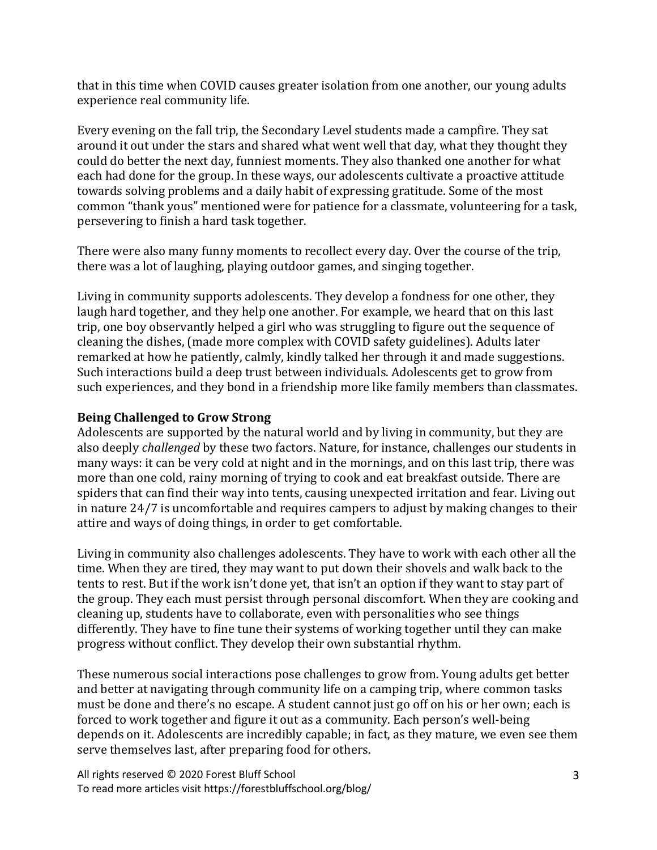that in this time when COVID causes greater isolation from one another, our young adults experience real community life.

Every evening on the fall trip, the Secondary Level students made a campfire. They sat around it out under the stars and shared what went well that day, what they thought they could do better the next day, funniest moments. They also thanked one another for what each had done for the group. In these ways, our adolescents cultivate a proactive attitude towards solving problems and a daily habit of expressing gratitude. Some of the most common "thank yous" mentioned were for patience for a classmate, volunteering for a task, persevering to finish a hard task together.

There were also many funny moments to recollect every day. Over the course of the trip, there was a lot of laughing, playing outdoor games, and singing together.

Living in community supports adolescents. They develop a fondness for one other, they laugh hard together, and they help one another. For example, we heard that on this last trip, one boy observantly helped a girl who was struggling to figure out the sequence of cleaning the dishes, (made more complex with COVID safety guidelines). Adults later remarked at how he patiently, calmly, kindly talked her through it and made suggestions. Such interactions build a deep trust between individuals. Adolescents get to grow from such experiences, and they bond in a friendship more like family members than classmates.

# **Being Challenged to Grow Strong**

Adolescents are supported by the natural world and by living in community, but they are also deeply *challenged* by these two factors. Nature, for instance, challenges our students in many ways: it can be very cold at night and in the mornings, and on this last trip, there was more than one cold, rainy morning of trying to cook and eat breakfast outside. There are spiders that can find their way into tents, causing unexpected irritation and fear. Living out in nature  $24/7$  is uncomfortable and requires campers to adjust by making changes to their attire and ways of doing things, in order to get comfortable.

Living in community also challenges adolescents. They have to work with each other all the time. When they are tired, they may want to put down their shovels and walk back to the tents to rest. But if the work isn't done yet, that isn't an option if they want to stay part of the group. They each must persist through personal discomfort. When they are cooking and cleaning up, students have to collaborate, even with personalities who see things differently. They have to fine tune their systems of working together until they can make progress without conflict. They develop their own substantial rhythm.

These numerous social interactions pose challenges to grow from. Young adults get better and better at navigating through community life on a camping trip, where common tasks must be done and there's no escape. A student cannot just go off on his or her own; each is forced to work together and figure it out as a community. Each person's well-being depends on it. Adolescents are incredibly capable; in fact, as they mature, we even see them serve themselves last, after preparing food for others.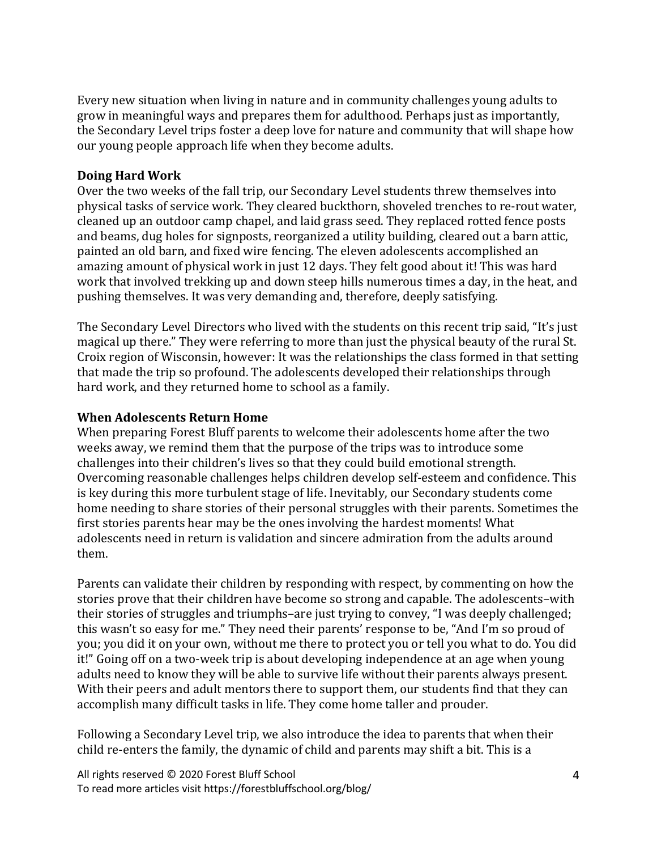Every new situation when living in nature and in community challenges young adults to grow in meaningful ways and prepares them for adulthood. Perhaps just as importantly, the Secondary Level trips foster a deep love for nature and community that will shape how our young people approach life when they become adults.

### **Doing Hard Work**

Over the two weeks of the fall trip, our Secondary Level students threw themselves into physical tasks of service work. They cleared buckthorn, shoveled trenches to re-rout water, cleaned up an outdoor camp chapel, and laid grass seed. They replaced rotted fence posts and beams, dug holes for signposts, reorganized a utility building, cleared out a barn attic, painted an old barn, and fixed wire fencing. The eleven adolescents accomplished an amazing amount of physical work in just 12 days. They felt good about it! This was hard work that involved trekking up and down steep hills numerous times a day, in the heat, and pushing themselves. It was very demanding and, therefore, deeply satisfying.

The Secondary Level Directors who lived with the students on this recent trip said, "It's just magical up there." They were referring to more than just the physical beauty of the rural St. Croix region of Wisconsin, however: It was the relationships the class formed in that setting that made the trip so profound. The adolescents developed their relationships through hard work, and they returned home to school as a family.

### **When Adolescents Return Home**

When preparing Forest Bluff parents to welcome their adolescents home after the two weeks away, we remind them that the purpose of the trips was to introduce some challenges into their children's lives so that they could build emotional strength. Overcoming reasonable challenges helps children develop self-esteem and confidence. This is key during this more turbulent stage of life. Inevitably, our Secondary students come home needing to share stories of their personal struggles with their parents. Sometimes the first stories parents hear may be the ones involving the hardest moments! What adolescents need in return is validation and sincere admiration from the adults around them. 

Parents can validate their children by responding with respect, by commenting on how the stories prove that their children have become so strong and capable. The adolescents-with their stories of struggles and triumphs-are just trying to convey, "I was deeply challenged; this wasn't so easy for me." They need their parents' response to be, "And I'm so proud of you; you did it on your own, without me there to protect you or tell you what to do. You did it!" Going off on a two-week trip is about developing independence at an age when young adults need to know they will be able to survive life without their parents always present. With their peers and adult mentors there to support them, our students find that they can accomplish many difficult tasks in life. They come home taller and prouder.

Following a Secondary Level trip, we also introduce the idea to parents that when their child re-enters the family, the dynamic of child and parents may shift a bit. This is a

All rights reserved © 2020 Forest Bluff School To read more articles visit https://forestbluffschool.org/blog/